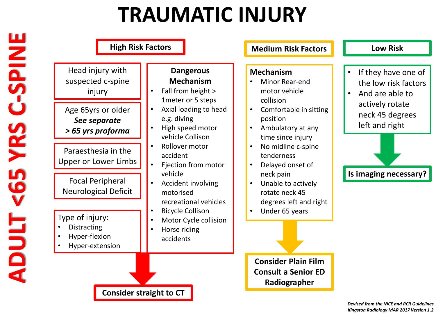## **TRAUMATIC INJURY**

| Head injury with<br>suspected c-spine<br>injury<br>Age 65yrs or older<br>See separate | <b>Dangerous</b><br><b>Mechanism</b><br>Fall from height ><br>1meter or 5 steps<br>Axial loading to head<br>e.g. diving<br>High speed motor | <b>Mechanism</b><br>Minor Rear-end<br>motor vehicle<br>collision<br>Comfortable in sitting<br>position<br>Ambulatory at any | If they have one of<br>the low risk factors<br>And are able to<br>$\bullet$<br>actively rotate<br>neck 45 degrees<br>left and right |
|---------------------------------------------------------------------------------------|---------------------------------------------------------------------------------------------------------------------------------------------|-----------------------------------------------------------------------------------------------------------------------------|-------------------------------------------------------------------------------------------------------------------------------------|
| > 65 yrs proforma<br>Paraesthesia in the<br>Upper or Lower Limbs                      | vehicle Collison<br>Rollover motor<br>accident<br>Ejection from motor<br>$\bullet$<br>vehicle                                               | time since injury<br>No midline c-spine<br>tenderness<br>Delayed onset of<br>neck pain                                      | Is imaging necessary?                                                                                                               |
| <b>Focal Peripheral</b><br><b>Neurological Deficit</b>                                | Accident involving<br>motorised<br>recreational vehicles<br><b>Bicycle Collison</b>                                                         | Unable to actively<br>rotate neck 45<br>degrees left and right<br>Under 65 years                                            |                                                                                                                                     |
| Type of injury:<br><b>Distracting</b><br>Hyper-flexion<br>Hyper-extension             | Motor Cycle collision<br>Horse riding<br>accidents                                                                                          |                                                                                                                             |                                                                                                                                     |
|                                                                                       |                                                                                                                                             | <b>Consider Plain Film</b><br><b>Consult a Senior ED</b><br>Radiographer                                                    |                                                                                                                                     |

*Devised from the NICE and RCR Guidelines Kingston Radiology MAR 2017 Version 1.2*